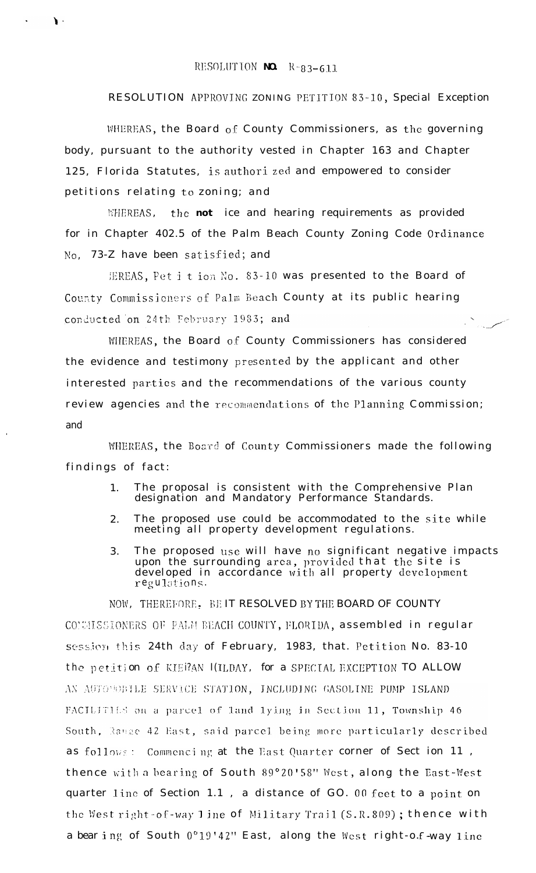## RESOLUTION NO.  $R-g_3-611$

## RESOLUTION APPROVING ZONING PETITION 83-10, Special Exception

WHEREAS, the Board of County Commissioners, as the governing body, pursuant to the authority vested in Chapter 163 and Chapter 125, Florida Statutes, is authori zed and empowered to consider petitions relating to zoning; and

WHEREAS, the **not** ice and hearing requirements as provided for in Chapter 402.5 of the Palm Beach County Zoning Code Ordinance No, 73-Z have been satisfied; and

EREAS, Pet it ion No. 83-10 was presented to the Board of County Commissioners of Palm Beach County at its public hearing conducted on 24th February 1983; and

WHEREAS, the Board of County Commissioners has considered the evidence and testimony presented by the applicant and other interested parties and the recommendations of the various county review agencies and the recommendations of the Planning Commission; and

WHEREAS, the Board of County Commissioners made the following findings of fact:

- The proposal is consistent with the Comprehensive Plan 1. designation and Mandatory Performance Standards.
- The proposed use could be accommodated to the site while  $2^{\circ}$ meeting all property development regulations.
- The proposed use will have no significant negative impacts  $3.$ upon the surrounding area, provided that the site is developed in accordance with all property development regulations.

NOW, THEREFORE. BE IT RESOLVED BY THE BOARD OF COUNTY CONSISSIONERS OF PALM BEACH COUNTY, FLORIDA, assembled in regular session this 24th day of February, 1983, that. Petition No. 83-10 the petition of KIERAN I(ILDAY, for a SPECIAL EXCEPTION TO ALLOW AN AUTOMOBILE SERVICE STATION, INCLUDING GASOLINE PUMP ISLAND FACILITIES on a parcel of land lying in Section 11, Township 46 South, Range 42 East, said parcel being more particularly described as follows: Commencing at the East Quarter corner of Sect ion 11, thence with a bearing of South 89°20'58" West, along the East-West quarter line of Section 1.1, a distance of GO. 00 feet to a point on the West right-of-way 1 ine of Military Trail (S.R.809); thence with a bearing of South 0°19'42" East, along the West right-o.f way line

 $\mathbf{A}$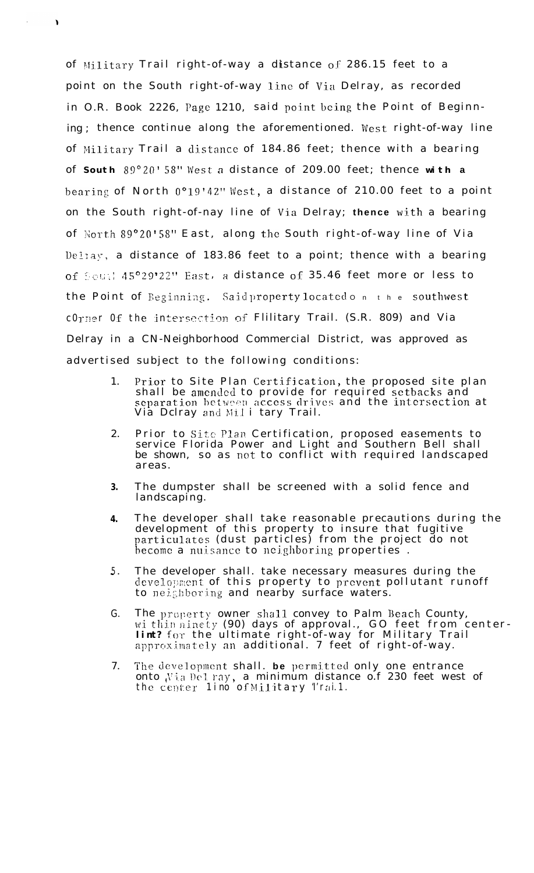of Military Trail right-of-way a distance of 286.15 feet to a point on the South right-of-way line of via Delray, as recorded in O.R. Book 2226, Page 1210, said point being the Point of Beginning ; thence continue along the aforementioned. West right-of-way line of Military Trail a distance of 184.86 feet; thence with a bearing of **South** 89"ZO' 58" West a distance of 209.00 feet; thence **with a** bearing of North  $0^{\circ}19'42''$  West, a distance of 210.00 feet to a point on the South right-of-nay line of Via Delray; thence with a bearing of North 89°20'58" East, along the South right-of-way line of Via Deltay, a distance of 183.86 feet to a point; thence with a bearing of South 45°29'22" East, a distance of 35.46 feet more or less to the Point of Beginning. Said property located on the southwest. cOrner Of the intersection of Flilitary Trail. (S.R. 809) and Via Delray in a CN-Neighborhood Commercial District, was approved as advertised subject to the following conditions:

- 1. Prior to Site Plan Certification, the proposed site plan shall be amended to provide for required setbacks and separation between access drives and the intersection at Via Dclray and Mil i tary Trail.
- 2. Prior to Site Plan Certification, proposed easements to service Florida Power and Light and Southern Bell shall be shown, so as not to conflict with required landscaped areas.
- **3.** The dumpster shall be screened with a solid fence and landscaping.
- **4.** The developer shall take reasonable precautions during the development of this property to insure that fugitive particulates (dust particles) from the project do not hecome a nuisance to neighboring properties.
- 5. The developer shall. take necessary measures during the development of this property to prevent pollutant runoff to neighboring and nearby surface waters.
- G. The property owner shall convey to Palm Beach County, wi thin ninety (90) days of approval., GO feet from center**lint?** for the ultimate right-of-way for Military Trail approximately an **additional. 7 feet of right-of-way**.
- 7. The development shall. be permitted only one entrance onto Via Del ray, a minimum distance o.f 230 feet west of the center lino of Military Trai.1.